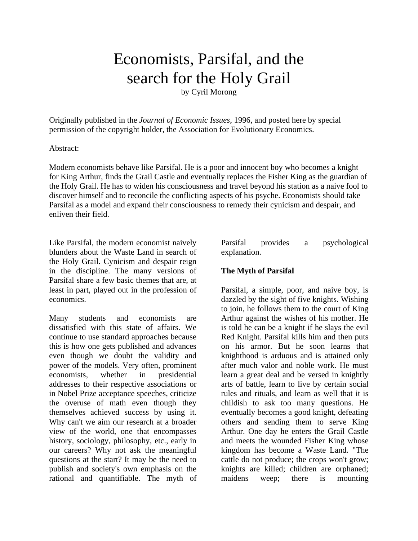# Economists, Parsifal, and the search for the Holy Grail

by Cyril Morong

Originally published in the *Journal of Economic Issues*, 1996, and posted here by special permission of the copyright holder, the Association for Evolutionary Economics.

#### Abstract:

Modern economists behave like Parsifal. He is a poor and innocent boy who becomes a knight for King Arthur, finds the Grail Castle and eventually replaces the Fisher King as the guardian of the Holy Grail. He has to widen his consciousness and travel beyond his station as a naive fool to discover himself and to reconcile the conflicting aspects of his psyche. Economists should take Parsifal as a model and expand their consciousness to remedy their cynicism and despair, and enliven their field.

Like Parsifal, the modern economist naively blunders about the Waste Land in search of the Holy Grail. Cynicism and despair reign in the discipline. The many versions of Parsifal share a few basic themes that are, at least in part, played out in the profession of economics.

Many students and economists are dissatisfied with this state of affairs. We continue to use standard approaches because this is how one gets published and advances even though we doubt the validity and power of the models. Very often, prominent economists, whether in presidential addresses to their respective associations or in Nobel Prize acceptance speeches, criticize the overuse of math even though they themselves achieved success by using it. Why can't we aim our research at a broader view of the world, one that encompasses history, sociology, philosophy, etc., early in our careers? Why not ask the meaningful questions at the start? It may be the need to publish and society's own emphasis on the rational and quantifiable. The myth of Parsifal provides a psychological explanation.

# **The Myth of Parsifal**

Parsifal, a simple, poor, and naive boy, is dazzled by the sight of five knights. Wishing to join, he follows them to the court of King Arthur against the wishes of his mother. He is told he can be a knight if he slays the evil Red Knight. Parsifal kills him and then puts on his armor. But he soon learns that knighthood is arduous and is attained only after much valor and noble work. He must learn a great deal and be versed in knightly arts of battle, learn to live by certain social rules and rituals, and learn as well that it is childish to ask too many questions. He eventually becomes a good knight, defeating others and sending them to serve King Arthur. One day he enters the Grail Castle and meets the wounded Fisher King whose kingdom has become a Waste Land. "The cattle do not produce; the crops won't grow; knights are killed; children are orphaned; maidens weep; there is mounting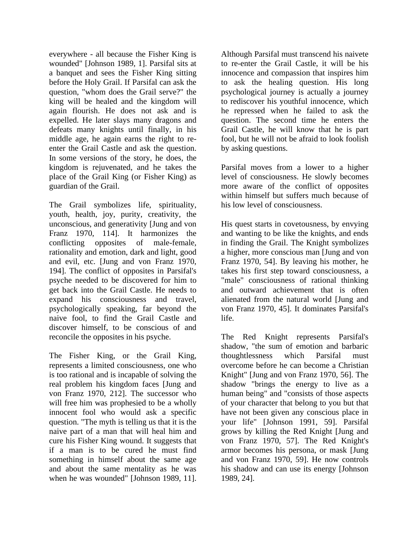everywhere - all because the Fisher King is wounded" [Johnson 1989, 1]. Parsifal sits at a banquet and sees the Fisher King sitting before the Holy Grail. If Parsifal can ask the question, "whom does the Grail serve?" the king will be healed and the kingdom will again flourish. He does not ask and is expelled. He later slays many dragons and defeats many knights until finally, in his middle age, he again earns the right to reenter the Grail Castle and ask the question. In some versions of the story, he does, the kingdom is rejuvenated, and he takes the place of the Grail King (or Fisher King) as guardian of the Grail.

The Grail symbolizes life, spirituality, youth, health, joy, purity, creativity, the unconscious, and generativity [Jung and von Franz 1970, 114]. It harmonizes the conflicting opposites of male-female, rationality and emotion, dark and light, good and evil, etc. [Jung and von Franz 1970, 194]. The conflict of opposites in Parsifal's psyche needed to be discovered for him to get back into the Grail Castle. He needs to expand his consciousness and travel, psychologically speaking, far beyond the naive fool, to find the Grail Castle and discover himself, to be conscious of and reconcile the opposites in his psyche.

The Fisher King, or the Grail King, represents a limited consciousness, one who is too rational and is incapable of solving the real problem his kingdom faces [Jung and von Franz 1970, 212]. The successor who will free him was prophesied to be a wholly innocent fool who would ask a specific question. "The myth is telling us that it is the naive part of a man that will heal him and cure his Fisher King wound. It suggests that if a man is to be cured he must find something in himself about the same age and about the same mentality as he was when he was wounded" [Johnson 1989, 11].

Although Parsifal must transcend his naivete to re-enter the Grail Castle, it will be his innocence and compassion that inspires him to ask the healing question. His long psychological journey is actually a journey to rediscover his youthful innocence, which he repressed when he failed to ask the question. The second time he enters the Grail Castle, he will know that he is part fool, but he will not be afraid to look foolish by asking questions.

Parsifal moves from a lower to a higher level of consciousness. He slowly becomes more aware of the conflict of opposites within himself but suffers much because of his low level of consciousness.

His quest starts in covetousness, by envying and wanting to be like the knights, and ends in finding the Grail. The Knight symbolizes a higher, more conscious man [Jung and von Franz 1970, 54]. By leaving his mother, he takes his first step toward consciousness, a "male" consciousness of rational thinking and outward achievement that is often alienated from the natural world [Jung and von Franz 1970, 45]. It dominates Parsifal's life.

The Red Knight represents Parsifal's shadow, "the sum of emotion and barbaric thoughtlessness which Parsifal must overcome before he can become a Christian Knight" [Jung and von Franz 1970, 56]. The shadow "brings the energy to live as a human being" and "consists of those aspects of your character that belong to you but that have not been given any conscious place in your life" [Johnson 1991, 59]. Parsifal grows by killing the Red Knight [Jung and von Franz 1970, 57]. The Red Knight's armor becomes his persona, or mask [Jung and von Franz 1970, 59]. He now controls his shadow and can use its energy [Johnson 1989, 24].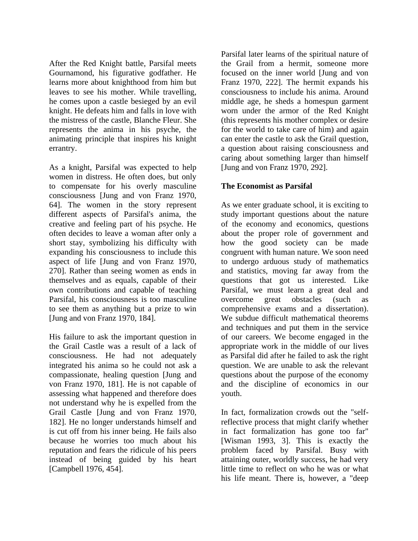After the Red Knight battle, Parsifal meets Gournamond, his figurative godfather. He learns more about knighthood from him but leaves to see his mother. While travelling, he comes upon a castle besieged by an evil knight. He defeats him and falls in love with the mistress of the castle, Blanche Fleur. She represents the anima in his psyche, the animating principle that inspires his knight errantry.

As a knight, Parsifal was expected to help women in distress. He often does, but only to compensate for his overly masculine consciousness [Jung and von Franz 1970, 64]. The women in the story represent different aspects of Parsifal's anima, the creative and feeling part of his psyche. He often decides to leave a woman after only a short stay, symbolizing his difficulty with expanding his consciousness to include this aspect of life [Jung and von Franz 1970, 270]. Rather than seeing women as ends in themselves and as equals, capable of their own contributions and capable of teaching Parsifal, his consciousness is too masculine to see them as anything but a prize to win [Jung and von Franz 1970, 184].

His failure to ask the important question in the Grail Castle was a result of a lack of consciousness. He had not adequately integrated his anima so he could not ask a compassionate, healing question [Jung and von Franz 1970, 181]. He is not capable of assessing what happened and therefore does not understand why he is expelled from the Grail Castle [Jung and von Franz 1970, 182]. He no longer understands himself and is cut off from his inner being. He fails also because he worries too much about his reputation and fears the ridicule of his peers instead of being guided by his heart [Campbell 1976, 454].

Parsifal later learns of the spiritual nature of the Grail from a hermit, someone more focused on the inner world [Jung and von Franz 1970, 222]. The hermit expands his consciousness to include his anima. Around middle age, he sheds a homespun garment worn under the armor of the Red Knight (this represents his mother complex or desire for the world to take care of him) and again can enter the castle to ask the Grail question, a question about raising consciousness and caring about something larger than himself [Jung and von Franz 1970, 292].

## **The Economist as Parsifal**

As we enter graduate school, it is exciting to study important questions about the nature of the economy and economics, questions about the proper role of government and how the good society can be made congruent with human nature. We soon need to undergo arduous study of mathematics and statistics, moving far away from the questions that got us interested. Like Parsifal, we must learn a great deal and overcome great obstacles (such as comprehensive exams and a dissertation). We subdue difficult mathematical theorems and techniques and put them in the service of our careers. We become engaged in the appropriate work in the middle of our lives as Parsifal did after he failed to ask the right question. We are unable to ask the relevant questions about the purpose of the economy and the discipline of economics in our youth.

In fact, formalization crowds out the "selfreflective process that might clarify whether in fact formalization has gone too far" [Wisman 1993, 3]. This is exactly the problem faced by Parsifal. Busy with attaining outer, worldly success, he had very little time to reflect on who he was or what his life meant. There is, however, a "deep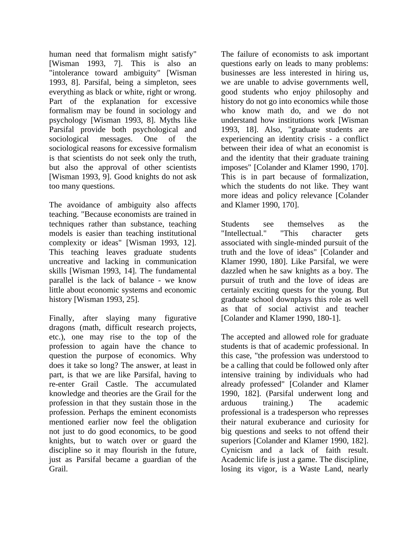human need that formalism might satisfy" [Wisman 1993, 7]. This is also an "intolerance toward ambiguity" [Wisman 1993, 8]. Parsifal, being a simpleton, sees everything as black or white, right or wrong. Part of the explanation for excessive formalism may be found in sociology and psychology [Wisman 1993, 8]. Myths like Parsifal provide both psychological and sociological messages. One of the sociological reasons for excessive formalism is that scientists do not seek only the truth, but also the approval of other scientists [Wisman 1993, 9]. Good knights do not ask too many questions.

The avoidance of ambiguity also affects teaching. "Because economists are trained in techniques rather than substance, teaching models is easier than teaching institutional complexity or ideas" [Wisman 1993, 12]. This teaching leaves graduate students uncreative and lacking in communication skills [Wisman 1993, 14]. The fundamental parallel is the lack of balance - we know little about economic systems and economic history [Wisman 1993, 25].

Finally, after slaying many figurative dragons (math, difficult research projects, etc.), one may rise to the top of the profession to again have the chance to question the purpose of economics. Why does it take so long? The answer, at least in part, is that we are like Parsifal, having to re-enter Grail Castle. The accumulated knowledge and theories are the Grail for the profession in that they sustain those in the profession. Perhaps the eminent economists mentioned earlier now feel the obligation not just to do good economics, to be good knights, but to watch over or guard the discipline so it may flourish in the future, just as Parsifal became a guardian of the Grail.

The failure of economists to ask important questions early on leads to many problems: businesses are less interested in hiring us, we are unable to advise governments well, good students who enjoy philosophy and history do not go into economics while those who know math do, and we do not understand how institutions work [Wisman 1993, 18]. Also, "graduate students are experiencing an identity crisis - a conflict between their idea of what an economist is and the identity that their graduate training imposes" [Colander and Klamer 1990, 170]. This is in part because of formalization, which the students do not like. They want more ideas and policy relevance [Colander and Klamer 1990, 170].

Students see themselves as the "Intellectual." "This character gets associated with single-minded pursuit of the truth and the love of ideas" [Colander and Klamer 1990, 180]. Like Parsifal, we were dazzled when he saw knights as a boy. The pursuit of truth and the love of ideas are certainly exciting quests for the young. But graduate school downplays this role as well as that of social activist and teacher [Colander and Klamer 1990, 180-1].

The accepted and allowed role for graduate students is that of academic professional. In this case, "the profession was understood to be a calling that could be followed only after intensive training by individuals who had already professed" [Colander and Klamer 1990, 182]. (Parsifal underwent long and arduous training.) The academic professional is a tradesperson who represses their natural exuberance and curiosity for big questions and seeks to not offend their superiors [Colander and Klamer 1990, 182]. Cynicism and a lack of faith result. Academic life is just a game. The discipline, losing its vigor, is a Waste Land, nearly